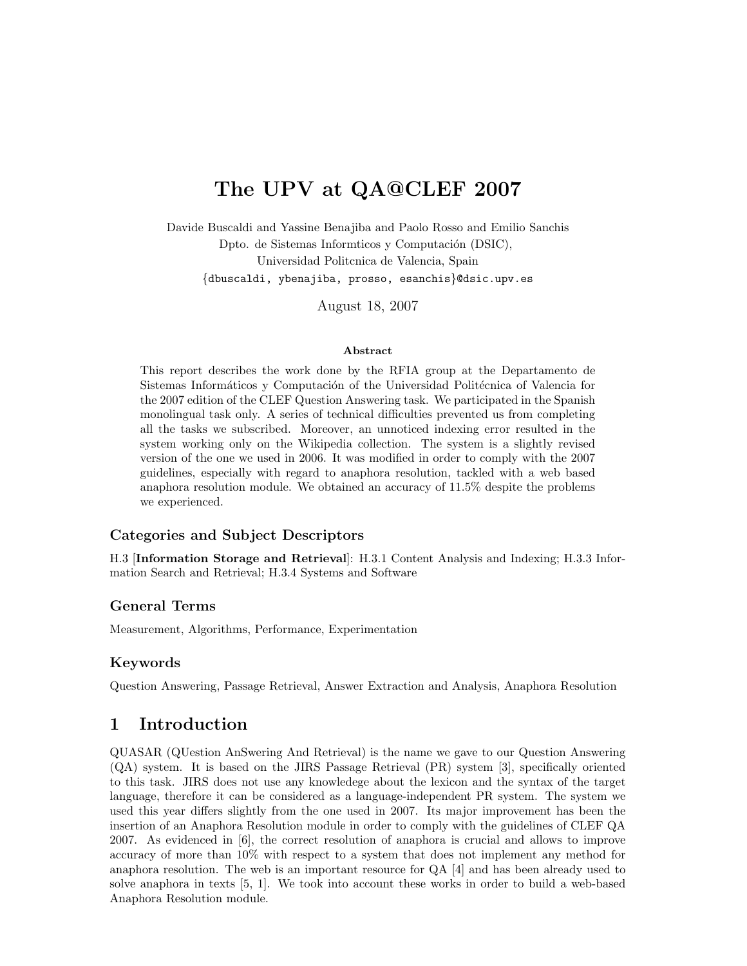# The UPV at QA@CLEF 2007

Davide Buscaldi and Yassine Benajiba and Paolo Rosso and Emilio Sanchis Dpto. de Sistemas Informticos y Computación (DSIC), Universidad Politcnica de Valencia, Spain {dbuscaldi, ybenajiba, prosso, esanchis}@dsic.upv.es

August 18, 2007

#### Abstract

This report describes the work done by the RFIA group at the Departamento de Sistemas Informáticos y Computación of the Universidad Politécnica of Valencia for the 2007 edition of the CLEF Question Answering task. We participated in the Spanish monolingual task only. A series of technical difficulties prevented us from completing all the tasks we subscribed. Moreover, an unnoticed indexing error resulted in the system working only on the Wikipedia collection. The system is a slightly revised version of the one we used in 2006. It was modified in order to comply with the 2007 guidelines, especially with regard to anaphora resolution, tackled with a web based anaphora resolution module. We obtained an accuracy of 11.5% despite the problems we experienced.

### Categories and Subject Descriptors

H.3 [Information Storage and Retrieval]: H.3.1 Content Analysis and Indexing; H.3.3 Information Search and Retrieval; H.3.4 Systems and Software

### General Terms

Measurement, Algorithms, Performance, Experimentation

### Keywords

Question Answering, Passage Retrieval, Answer Extraction and Analysis, Anaphora Resolution

## 1 Introduction

QUASAR (QUestion AnSwering And Retrieval) is the name we gave to our Question Answering (QA) system. It is based on the JIRS Passage Retrieval (PR) system [3], specifically oriented to this task. JIRS does not use any knowledege about the lexicon and the syntax of the target language, therefore it can be considered as a language-independent PR system. The system we used this year differs slightly from the one used in 2007. Its major improvement has been the insertion of an Anaphora Resolution module in order to comply with the guidelines of CLEF QA 2007. As evidenced in [6], the correct resolution of anaphora is crucial and allows to improve accuracy of more than 10% with respect to a system that does not implement any method for anaphora resolution. The web is an important resource for  $QA \nvert 4$  and has been already used to solve anaphora in texts [5, 1]. We took into account these works in order to build a web-based Anaphora Resolution module.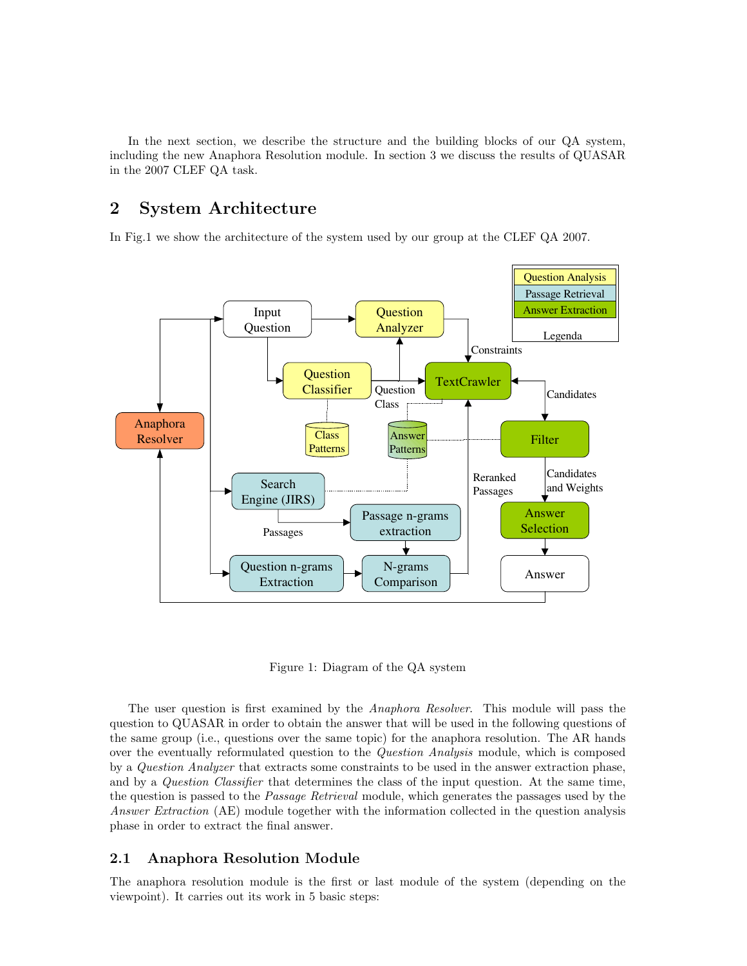In the next section, we describe the structure and the building blocks of our QA system, including the new Anaphora Resolution module. In section 3 we discuss the results of QUASAR in the 2007 CLEF QA task.

## 2 System Architecture

In Fig.1 we show the architecture of the system used by our group at the CLEF QA 2007.



Figure 1: Diagram of the QA system

The user question is first examined by the Anaphora Resolver. This module will pass the question to QUASAR in order to obtain the answer that will be used in the following questions of the same group (i.e., questions over the same topic) for the anaphora resolution. The AR hands over the eventually reformulated question to the *Question Analysis* module, which is composed by a *Question Analyzer* that extracts some constraints to be used in the answer extraction phase, and by a *Question Classifier* that determines the class of the input question. At the same time, the question is passed to the *Passage Retrieval* module, which generates the passages used by the Answer Extraction (AE) module together with the information collected in the question analysis phase in order to extract the final answer.

### 2.1 Anaphora Resolution Module

The anaphora resolution module is the first or last module of the system (depending on the viewpoint). It carries out its work in 5 basic steps: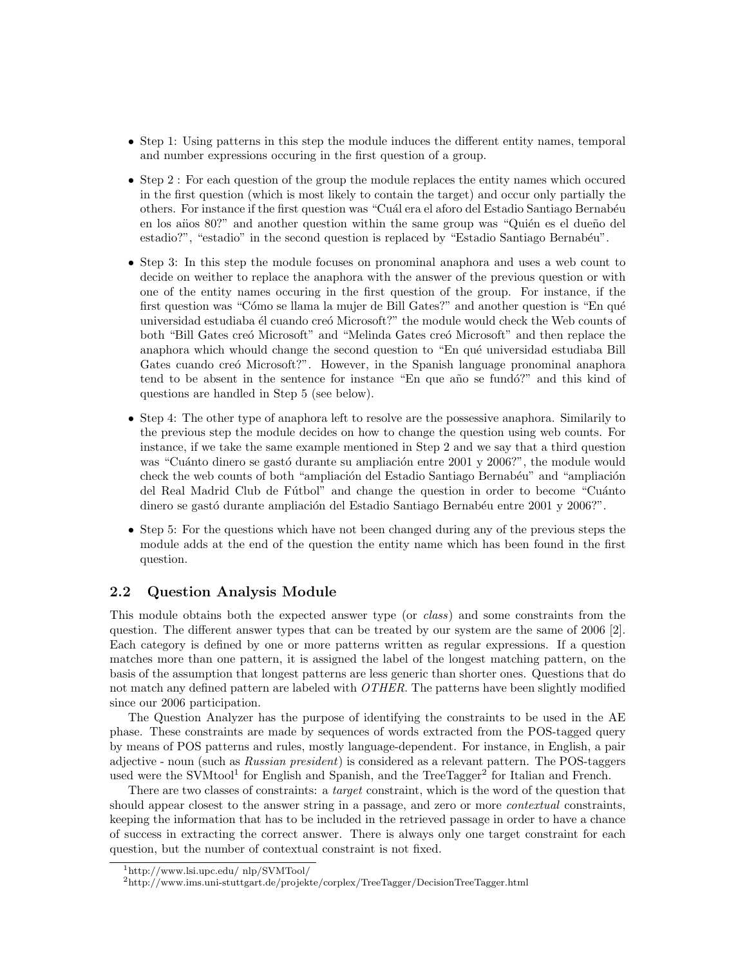- Step 1: Using patterns in this step the module induces the different entity names, temporal and number expressions occuring in the first question of a group.
- Step 2 : For each question of the group the module replaces the entity names which occured in the first question (which is most likely to contain the target) and occur only partially the others. For instance if the first question was "Cu´al era el aforo del Estadio Santiago Bernab´eu en los años 80?" and another question within the same group was "Quién es el dueño del estadio?", "estadio" in the second question is replaced by "Estadio Santiago Bernabéu".
- Step 3: In this step the module focuses on pronominal anaphora and uses a web count to decide on weither to replace the anaphora with the answer of the previous question or with one of the entity names occuring in the first question of the group. For instance, if the first question was "Cómo se llama la mujer de Bill Gates?" and another question is "En qué universidad estudiaba él cuando creó Microsoft?" the module would check the Web counts of both "Bill Gates creó Microsoft" and "Melinda Gates creó Microsoft" and then replace the anaphora which whould change the second question to "En qué universidad estudiaba Bill Gates cuando creó Microsoft?". However, in the Spanish language pronominal anaphora tend to be absent in the sentence for instance "En que año se fundó?" and this kind of questions are handled in Step 5 (see below).
- Step 4: The other type of anaphora left to resolve are the possessive anaphora. Similarily to the previous step the module decides on how to change the question using web counts. For instance, if we take the same example mentioned in Step 2 and we say that a third question was "Cuánto dinero se gastó durante su ampliación entre 2001 y 2006?", the module would check the web counts of both "ampliación del Estadio Santiago Bernabéu" and "ampliación" del Real Madrid Club de Fútbol" and change the question in order to become "Cuánto" dinero se gastó durante ampliación del Estadio Santiago Bernabéu entre 2001 y 2006?".
- Step 5: For the questions which have not been changed during any of the previous steps the module adds at the end of the question the entity name which has been found in the first question.

## 2.2 Question Analysis Module

This module obtains both the expected answer type (or class) and some constraints from the question. The different answer types that can be treated by our system are the same of 2006 [2]. Each category is defined by one or more patterns written as regular expressions. If a question matches more than one pattern, it is assigned the label of the longest matching pattern, on the basis of the assumption that longest patterns are less generic than shorter ones. Questions that do not match any defined pattern are labeled with  $OTHER$ . The patterns have been slightly modified since our 2006 participation.

The Question Analyzer has the purpose of identifying the constraints to be used in the AE phase. These constraints are made by sequences of words extracted from the POS-tagged query by means of POS patterns and rules, mostly language-dependent. For instance, in English, a pair adjective - noun (such as Russian president) is considered as a relevant pattern. The POS-taggers used were the SVMtool<sup>1</sup> for English and Spanish, and the TreeTagger<sup>2</sup> for Italian and French.

There are two classes of constraints: a target constraint, which is the word of the question that should appear closest to the answer string in a passage, and zero or more *contextual* constraints, keeping the information that has to be included in the retrieved passage in order to have a chance of success in extracting the correct answer. There is always only one target constraint for each question, but the number of contextual constraint is not fixed.

<sup>1</sup>http://www.lsi.upc.edu/ nlp/SVMTool/

<sup>2</sup>http://www.ims.uni-stuttgart.de/projekte/corplex/TreeTagger/DecisionTreeTagger.html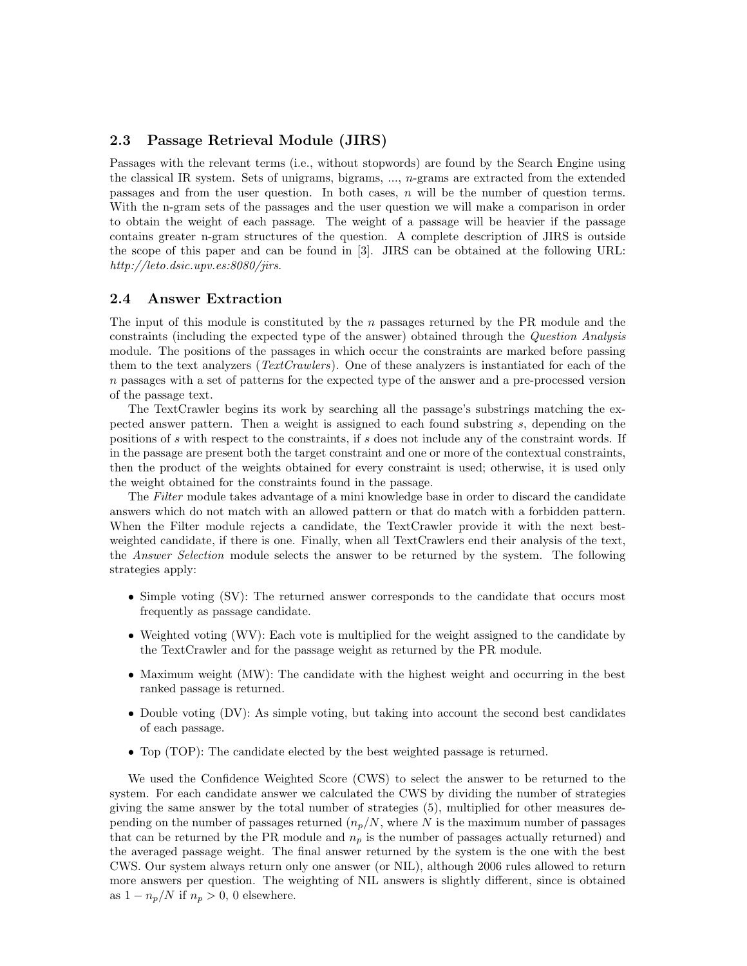### 2.3 Passage Retrieval Module (JIRS)

Passages with the relevant terms (i.e., without stopwords) are found by the Search Engine using the classical IR system. Sets of unigrams, bigrams, ..., n-grams are extracted from the extended passages and from the user question. In both cases, n will be the number of question terms. With the n-gram sets of the passages and the user question we will make a comparison in order to obtain the weight of each passage. The weight of a passage will be heavier if the passage contains greater n-gram structures of the question. A complete description of JIRS is outside the scope of this paper and can be found in [3]. JIRS can be obtained at the following URL: http://leto.dsic.upv.es:8080/jirs.

#### 2.4 Answer Extraction

The input of this module is constituted by the  $n$  passages returned by the PR module and the constraints (including the expected type of the answer) obtained through the Question Analysis module. The positions of the passages in which occur the constraints are marked before passing them to the text analyzers ( $TextCrawlers$ ). One of these analyzers is instantiated for each of the  $n$  passages with a set of patterns for the expected type of the answer and a pre-processed version of the passage text.

The TextCrawler begins its work by searching all the passage's substrings matching the expected answer pattern. Then a weight is assigned to each found substring s, depending on the positions of s with respect to the constraints, if s does not include any of the constraint words. If in the passage are present both the target constraint and one or more of the contextual constraints, then the product of the weights obtained for every constraint is used; otherwise, it is used only the weight obtained for the constraints found in the passage.

The Filter module takes advantage of a mini knowledge base in order to discard the candidate answers which do not match with an allowed pattern or that do match with a forbidden pattern. When the Filter module rejects a candidate, the TextCrawler provide it with the next bestweighted candidate, if there is one. Finally, when all TextCrawlers end their analysis of the text, the Answer Selection module selects the answer to be returned by the system. The following strategies apply:

- Simple voting (SV): The returned answer corresponds to the candidate that occurs most frequently as passage candidate.
- Weighted voting (WV): Each vote is multiplied for the weight assigned to the candidate by the TextCrawler and for the passage weight as returned by the PR module.
- Maximum weight (MW): The candidate with the highest weight and occurring in the best ranked passage is returned.
- Double voting (DV): As simple voting, but taking into account the second best candidates of each passage.
- Top (TOP): The candidate elected by the best weighted passage is returned.

We used the Confidence Weighted Score (CWS) to select the answer to be returned to the system. For each candidate answer we calculated the CWS by dividing the number of strategies giving the same answer by the total number of strategies (5), multiplied for other measures depending on the number of passages returned  $(n_p/N)$ , where N is the maximum number of passages that can be returned by the PR module and  $n_p$  is the number of passages actually returned) and the averaged passage weight. The final answer returned by the system is the one with the best CWS. Our system always return only one answer (or NIL), although 2006 rules allowed to return more answers per question. The weighting of NIL answers is slightly different, since is obtained as  $1 - n_p/N$  if  $n_p > 0$ , 0 elsewhere.